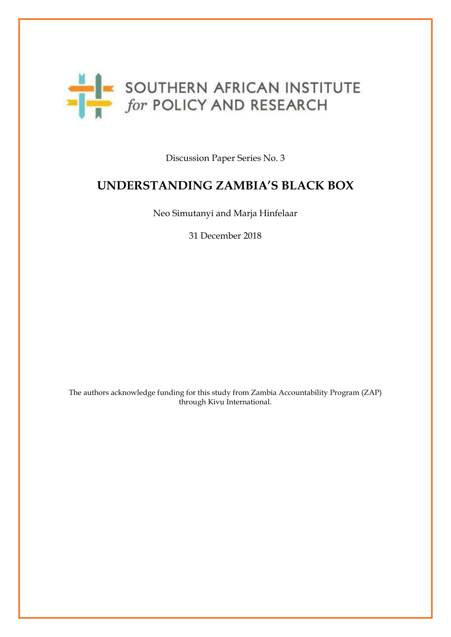

Discussion Paper Series No. 3

# **UNDERSTANDING ZAMBIA'S BLACK BOX**

Neo Simutanyi and Marja Hinfelaar

31 December 2018

The authors acknowledge funding for this study from Zambia Accountability Program (ZAP) through Kivu International.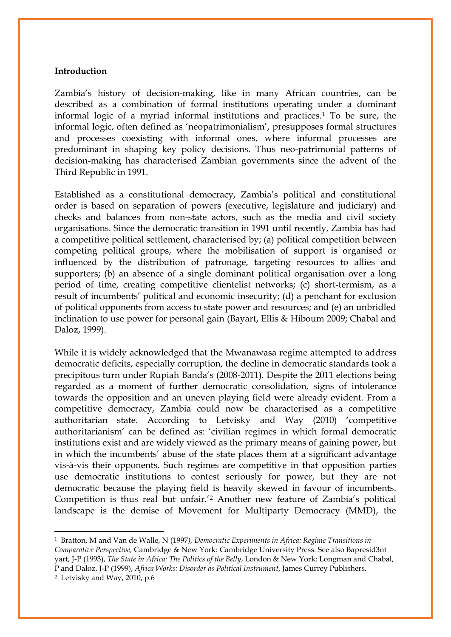#### **Introduction**

Zambia's history of decision-making, like in many African countries, can be described as a combination of formal institutions operating under a dominant informal logic of a myriad informal institutions and practices.[1](#page-1-0) To be sure, the informal logic, often defined as 'neopatrimonialism', presupposes formal structures and processes coexisting with informal ones, where informal processes are predominant in shaping key policy decisions. Thus neo-patrimonial patterns of decision-making has characterised Zambian governments since the advent of the Third Republic in 1991.

Established as a constitutional democracy, Zambia's political and constitutional order is based on separation of powers (executive, legislature and judiciary) and checks and balances from non-state actors, such as the media and civil society organisations. Since the democratic transition in 1991 until recently, Zambia has had a competitive political settlement, characterised by; (a) political competition between competing political groups, where the mobilisation of support is organised or influenced by the distribution of patronage, targeting resources to allies and supporters; (b) an absence of a single dominant political organisation over a long period of time, creating competitive clientelist networks; (c) short-termism, as a result of incumbents' political and economic insecurity; (d) a penchant for exclusion of political opponents from access to state power and resources; and (e) an unbridled inclination to use power for personal gain (Bayart, Ellis & Hiboum 2009; Chabal and Daloz, 1999).

While it is widely acknowledged that the Mwanawasa regime attempted to address democratic deficits, especially corruption, the decline in democratic standards took a precipitous turn under Rupiah Banda's (2008-2011). Despite the 2011 elections being regarded as a moment of further democratic consolidation, signs of intolerance towards the opposition and an uneven playing field were already evident. From a competitive democracy, Zambia could now be characterised as a competitive authoritarian state. According to Letvisky and Way (2010) 'competitive authoritarianism' can be defined as: 'civilian regimes in which formal democratic institutions exist and are widely viewed as the primary means of gaining power, but in which the incumbents' abuse of the state places them at a significant advantage vis-à-vis their opponents. Such regimes are competitive in that opposition parties use democratic institutions to contest seriously for power, but they are not democratic because the playing field is heavily skewed in favour of incumbents. Competition is thus real but unfair.'[2](#page-1-1) Another new feature of Zambia's political landscape is the demise of Movement for Multiparty Democracy (MMD), the

<u>.</u>

<span id="page-1-0"></span><sup>1</sup> Bratton, M and Van de Walle, N (1997*), Democratic Experiments in Africa: Regime Transitions in Comparative Perspective,* Cambridge & New York: Cambridge University Press. See also Bapresid3nt yart, J-P (1993), *The State in Africa: The Politics of the Belly*, London & New York: Longman and Chabal, P and Daloz, J-P (1999), *Africa Works: Disorder as Political Instrument*, James Currey Publishers.

<span id="page-1-1"></span><sup>2</sup> Letvisky and Way, 2010, p.6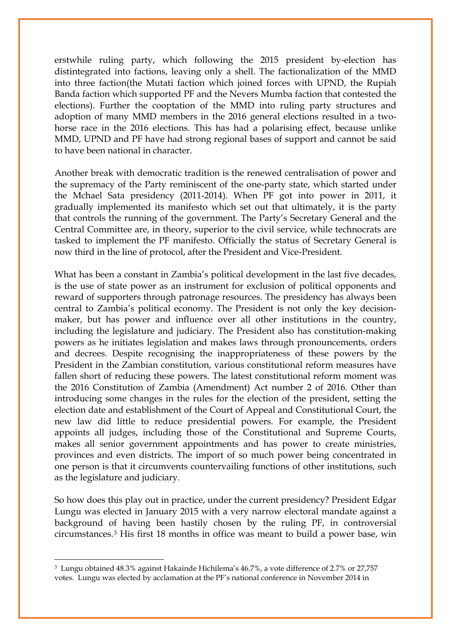erstwhile ruling party, which following the 2015 president by-election has distintegrated into factions, leaving only a shell. The factionalization of the MMD into three faction(the Mutati faction which joined forces with UPND, the Rupiah Banda faction which supported PF and the Nevers Mumba faction that contested the elections). Further the cooptation of the MMD into ruling party structures and adoption of many MMD members in the 2016 general elections resulted in a twohorse race in the 2016 elections. This has had a polarising effect, because unlike MMD, UPND and PF have had strong regional bases of support and cannot be said to have been national in character.

Another break with democratic tradition is the renewed centralisation of power and the supremacy of the Party reminiscent of the one-party state, which started under the Mchael Sata presidency (2011-2014). When PF got into power in 2011, it gradually implemented its manifesto which set out that ultimately, it is the party that controls the running of the government. The Party's Secretary General and the Central Committee are, in theory, superior to the civil service, while technocrats are tasked to implement the PF manifesto. Officially the status of Secretary General is now third in the line of protocol, after the President and Vice-President.

What has been a constant in Zambia's political development in the last five decades, is the use of state power as an instrument for exclusion of political opponents and reward of supporters through patronage resources. The presidency has always been central to Zambia's political economy. The President is not only the key decisionmaker, but has power and influence over all other institutions in the country, including the legislature and judiciary. The President also has constitution-making powers as he initiates legislation and makes laws through pronouncements, orders and decrees. Despite recognising the inappropriateness of these powers by the President in the Zambian constitution, various constitutional reform measures have fallen short of reducing these powers. The latest constitutional reform moment was the 2016 Constitution of Zambia (Amendment) Act number 2 of 2016. Other than introducing some changes in the rules for the election of the president, setting the election date and establishment of the Court of Appeal and Constitutional Court, the new law did little to reduce presidential powers. For example, the President appoints all judges, including those of the Constitutional and Supreme Courts, makes all senior government appointments and has power to create ministries, provinces and even districts. The import of so much power being concentrated in one person is that it circumvents countervailing functions of other institutions, such as the legislature and judiciary.

So how does this play out in practice, under the current presidency? President Edgar Lungu was elected in January 2015 with a very narrow electoral mandate against a background of having been hastily chosen by the ruling PF, in controversial circumstances.[3](#page-2-0) His first 18 months in office was meant to build a power base, win

<span id="page-2-0"></span><sup>3</sup> Lungu obtained 48.3% against Hakainde Hichilema's 46.7%, a vote difference of 2.7% or 27,757 votes. Lungu was elected by acclamation at the PF's national conference in November 2014 in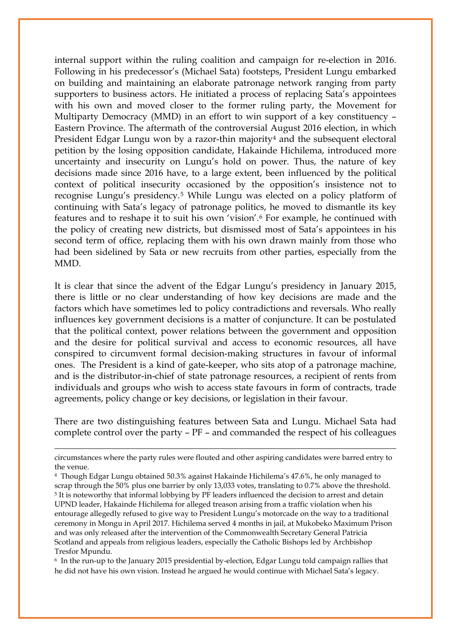internal support within the ruling coalition and campaign for re-election in 2016. Following in his predecessor's (Michael Sata) footsteps, President Lungu embarked on building and maintaining an elaborate patronage network ranging from party supporters to business actors. He initiated a process of replacing Sata's appointees with his own and moved closer to the former ruling party, the Movement for Multiparty Democracy (MMD) in an effort to win support of a key constituency – Eastern Province. The aftermath of the controversial August 2016 election, in which President Edgar Lungu won by a razor-thin majority<sup>4</sup> and the subsequent electoral petition by the losing opposition candidate, Hakainde Hichilema, introduced more uncertainty and insecurity on Lungu's hold on power. Thus, the nature of key decisions made since 2016 have, to a large extent, been influenced by the political context of political insecurity occasioned by the opposition's insistence not to recognise Lungu's presidency.[5](#page-3-1) While Lungu was elected on a policy platform of continuing with Sata's legacy of patronage politics, he moved to dismantle its key features and to reshape it to suit his own 'vision'.[6](#page-3-2) For example, he continued with the policy of creating new districts, but dismissed most of Sata's appointees in his second term of office, replacing them with his own drawn mainly from those who had been sidelined by Sata or new recruits from other parties, especially from the MMD.

It is clear that since the advent of the Edgar Lungu's presidency in January 2015, there is little or no clear understanding of how key decisions are made and the factors which have sometimes led to policy contradictions and reversals. Who really influences key government decisions is a matter of conjuncture. It can be postulated that the political context, power relations between the government and opposition and the desire for political survival and access to economic resources, all have conspired to circumvent formal decision-making structures in favour of informal ones. The President is a kind of gate-keeper, who sits atop of a patronage machine, and is the distributor-in-chief of state patronage resources, a recipient of rents from individuals and groups who wish to access state favours in form of contracts, trade agreements, policy change or key decisions, or legislation in their favour.

There are two distinguishing features between Sata and Lungu. Michael Sata had complete control over the party – PF – and commanded the respect of his colleagues

 $\overline{\phantom{a}}$ 

circumstances where the party rules were flouted and other aspiring candidates were barred entry to the venue.

<span id="page-3-1"></span><span id="page-3-0"></span><sup>4</sup> Though Edgar Lungu obtained 50.3% against Hakainde Hichilema's 47.6%, he only managed to scrap through the 50% plus one barrier by only 13,033 votes, translating to 0.7% above the threshold. <sup>5</sup> It is noteworthy that informal lobbying by PF leaders influenced the decision to arrest and detain UPND leader, Hakainde Hichilema for alleged treason arising from a traffic violation when his entourage allegedly refused to give way to President Lungu's motorcade on the way to a traditional ceremony in Mongu in April 2017. Hichilema served 4 months in jail, at Mukobeko Maximum Prison and was only released after the intervention of the Commonwealth Secretary General Patricia Scotland and appeals from religious leaders, especially the Catholic Bishops led by Archbishop Tresfor Mpundu.

<span id="page-3-2"></span><sup>6</sup> In the run-up to the January 2015 presidential by-election, Edgar Lungu told campaign rallies that he did not have his own vision. Instead he argued he would continue with Michael Sata's legacy.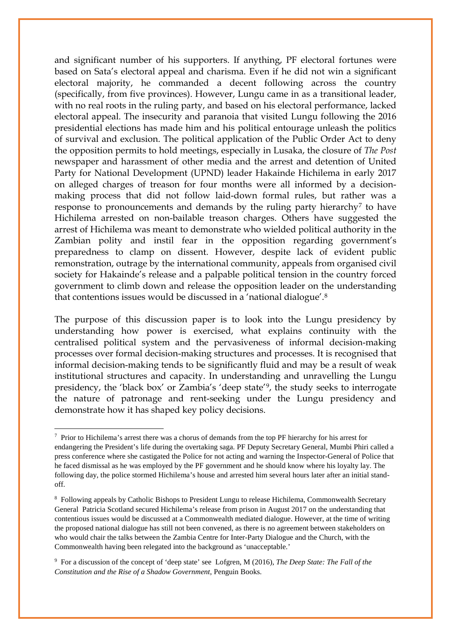and significant number of his supporters. If anything, PF electoral fortunes were based on Sata's electoral appeal and charisma. Even if he did not win a significant electoral majority, he commanded a decent following across the country (specifically, from five provinces). However, Lungu came in as a transitional leader, with no real roots in the ruling party, and based on his electoral performance, lacked electoral appeal. The insecurity and paranoia that visited Lungu following the 2016 presidential elections has made him and his political entourage unleash the politics of survival and exclusion. The political application of the Public Order Act to deny the opposition permits to hold meetings, especially in Lusaka, the closure of *The Post* newspaper and harassment of other media and the arrest and detention of United Party for National Development (UPND) leader Hakainde Hichilema in early 2017 on alleged charges of treason for four months were all informed by a decisionmaking process that did not follow laid-down formal rules, but rather was a response to pronouncements and demands by the ruling party hierarchy<sup>[7](#page-4-0)</sup> to have Hichilema arrested on non-bailable treason charges. Others have suggested the arrest of Hichilema was meant to demonstrate who wielded political authority in the Zambian polity and instil fear in the opposition regarding government's preparedness to clamp on dissent. However, despite lack of evident public remonstration, outrage by the international community, appeals from organised civil society for Hakainde's release and a palpable political tension in the country forced government to climb down and release the opposition leader on the understanding that contentions issues would be discussed in a 'national dialogue'[.8](#page-4-1)

The purpose of this discussion paper is to look into the Lungu presidency by understanding how power is exercised, what explains continuity with the centralised political system and the pervasiveness of informal decision-making processes over formal decision-making structures and processes. It is recognised that informal decision-making tends to be significantly fluid and may be a result of weak institutional structures and capacity. In understanding and unravelling the Lungu presidency, the 'black box' or Zambia's 'deep state'[9,](#page-4-2) the study seeks to interrogate the nature of patronage and rent-seeking under the Lungu presidency and demonstrate how it has shaped key policy decisions.

 $\overline{\phantom{a}}$ 

<span id="page-4-0"></span><sup>&</sup>lt;sup>7</sup> Prior to Hichilema's arrest there was a chorus of demands from the top PF hierarchy for his arrest for endangering the President's life during the overtaking saga. PF Deputy Secretary General, Mumbi Phiri called a press conference where she castigated the Police for not acting and warning the Inspector-General of Police that he faced dismissal as he was employed by the PF government and he should know where his loyalty lay. The following day, the police stormed Hichilema's house and arrested him several hours later after an initial standoff.

<span id="page-4-1"></span><sup>8</sup> Following appeals by Catholic Bishops to President Lungu to release Hichilema, Commonwealth Secretary General Patricia Scotland secured Hichilema's release from prison in August 2017 on the understanding that contentious issues would be discussed at a Commonwealth mediated dialogue. However, at the time of writing the proposed national dialogue has still not been convened, as there is no agreement between stakeholders on who would chair the talks between the Zambia Centre for Inter-Party Dialogue and the Church, with the Commonwealth having been relegated into the background as 'unacceptable.'

<span id="page-4-2"></span><sup>9</sup> For a discussion of the concept of 'deep state' see Lofgren, M (2016), *The Deep State: The Fall of the Constitution and the Rise of a Shadow Government*, Penguin Books.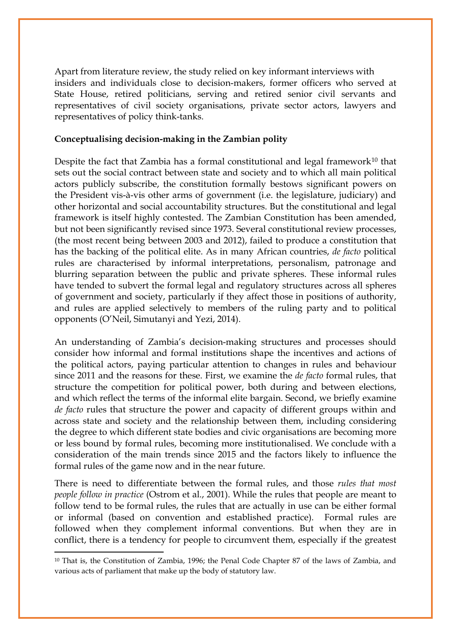Apart from literature review, the study relied on key informant interviews with insiders and individuals close to decision-makers, former officers who served at State House, retired politicians, serving and retired senior civil servants and representatives of civil society organisations, private sector actors, lawyers and representatives of policy think-tanks.

# **Conceptualising decision-making in the Zambian polity**

Despite the fact that Zambia has a formal constitutional and legal framework<sup>[10](#page-5-0)</sup> that sets out the social contract between state and society and to which all main political actors publicly subscribe, the constitution formally bestows significant powers on the President vis-à-vis other arms of government (i.e. the legislature, judiciary) and other horizontal and social accountability structures. But the constitutional and legal framework is itself highly contested. The Zambian Constitution has been amended, but not been significantly revised since 1973. Several constitutional review processes, (the most recent being between 2003 and 2012), failed to produce a constitution that has the backing of the political elite. As in many African countries, *de facto* political rules are characterised by informal interpretations, personalism, patronage and blurring separation between the public and private spheres. These informal rules have tended to subvert the formal legal and regulatory structures across all spheres of government and society, particularly if they affect those in positions of authority, and rules are applied selectively to members of the ruling party and to political opponents (O'Neil, Simutanyi and Yezi, 2014).

An understanding of Zambia's decision-making structures and processes should consider how informal and formal institutions shape the incentives and actions of the political actors, paying particular attention to changes in rules and behaviour since 2011 and the reasons for these. First, we examine the *de facto* formal rules, that structure the competition for political power, both during and between elections, and which reflect the terms of the informal elite bargain. Second, we briefly examine *de facto* rules that structure the power and capacity of different groups within and across state and society and the relationship between them, including considering the degree to which different state bodies and civic organisations are becoming more or less bound by formal rules, becoming more institutionalised. We conclude with a consideration of the main trends since 2015 and the factors likely to influence the formal rules of the game now and in the near future.

There is need to differentiate between the formal rules, and those *rules that most people follow in practice* (Ostrom et al., 2001). While the rules that people are meant to follow tend to be formal rules, the rules that are actually in use can be either formal or informal (based on convention and established practice). Formal rules are followed when they complement informal conventions. But when they are in conflict, there is a tendency for people to circumvent them, especially if the greatest

<u>.</u>

<span id="page-5-0"></span><sup>&</sup>lt;sup>10</sup> That is, the Constitution of Zambia, 1996; the Penal Code Chapter 87 of the laws of Zambia, and various acts of parliament that make up the body of statutory law.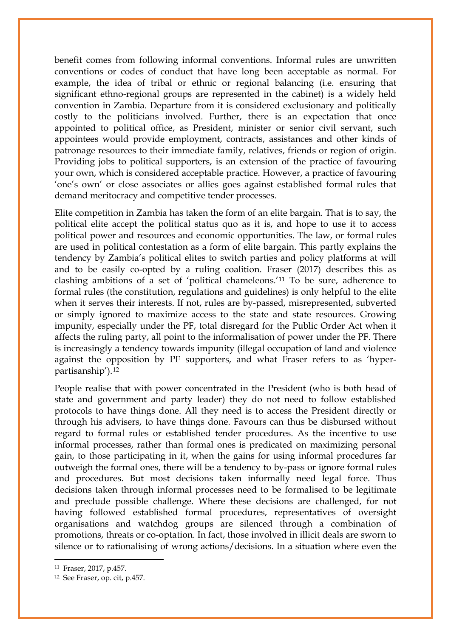benefit comes from following informal conventions. Informal rules are unwritten conventions or codes of conduct that have long been acceptable as normal. For example, the idea of tribal or ethnic or regional balancing (i.e. ensuring that significant ethno-regional groups are represented in the cabinet) is a widely held convention in Zambia. Departure from it is considered exclusionary and politically costly to the politicians involved. Further, there is an expectation that once appointed to political office, as President, minister or senior civil servant, such appointees would provide employment, contracts, assistances and other kinds of patronage resources to their immediate family, relatives, friends or region of origin. Providing jobs to political supporters, is an extension of the practice of favouring your own, which is considered acceptable practice. However, a practice of favouring 'one's own' or close associates or allies goes against established formal rules that demand meritocracy and competitive tender processes.

Elite competition in Zambia has taken the form of an elite bargain. That is to say, the political elite accept the political status quo as it is, and hope to use it to access political power and resources and economic opportunities. The law, or formal rules are used in political contestation as a form of elite bargain. This partly explains the tendency by Zambia's political elites to switch parties and policy platforms at will and to be easily co-opted by a ruling coalition. Fraser (2017) describes this as clashing ambitions of a set of 'political chameleons.'[11](#page-6-0) To be sure, adherence to formal rules (the constitution, regulations and guidelines) is only helpful to the elite when it serves their interests. If not, rules are by-passed, misrepresented, subverted or simply ignored to maximize access to the state and state resources. Growing impunity, especially under the PF, total disregard for the Public Order Act when it affects the ruling party, all point to the informalisation of power under the PF. There is increasingly a tendency towards impunity (illegal occupation of land and violence against the opposition by PF supporters, and what Fraser refers to as 'hyperpartisanship').[12](#page-6-1)

People realise that with power concentrated in the President (who is both head of state and government and party leader) they do not need to follow established protocols to have things done. All they need is to access the President directly or through his advisers, to have things done. Favours can thus be disbursed without regard to formal rules or established tender procedures. As the incentive to use informal processes, rather than formal ones is predicated on maximizing personal gain, to those participating in it, when the gains for using informal procedures far outweigh the formal ones, there will be a tendency to by-pass or ignore formal rules and procedures. But most decisions taken informally need legal force. Thus decisions taken through informal processes need to be formalised to be legitimate and preclude possible challenge. Where these decisions are challenged, for not having followed established formal procedures, representatives of oversight organisations and watchdog groups are silenced through a combination of promotions, threats or co-optation. In fact, those involved in illicit deals are sworn to silence or to rationalising of wrong actions/decisions. In a situation where even the

<span id="page-6-0"></span><sup>11</sup> Fraser, 2017, p.457.

<span id="page-6-1"></span><sup>12</sup> See Fraser, op. cit, p.457.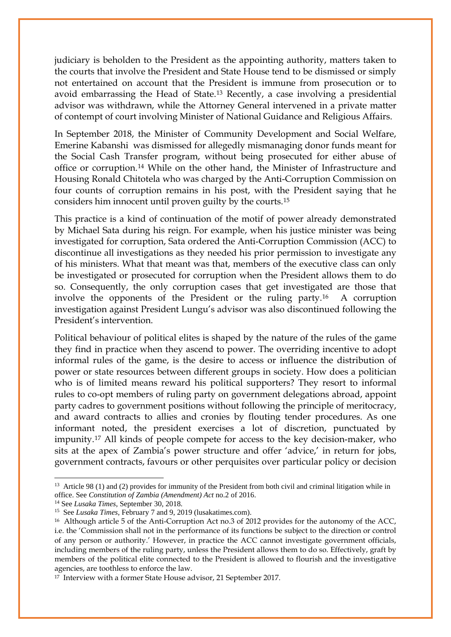judiciary is beholden to the President as the appointing authority, matters taken to the courts that involve the President and State House tend to be dismissed or simply not entertained on account that the President is immune from prosecution or to avoid embarrassing the Head of State.[13](#page-7-0) Recently, a case involving a presidential advisor was withdrawn, while the Attorney General intervened in a private matter of contempt of court involving Minister of National Guidance and Religious Affairs.

In September 2018, the Minister of Community Development and Social Welfare, Emerine Kabanshi was dismissed for allegedly mismanaging donor funds meant for the Social Cash Transfer program, without being prosecuted for either abuse of office or corruption.[14](#page-7-1) While on the other hand, the Minister of Infrastructure and Housing Ronald Chitotela who was charged by the Anti-Corruption Commission on four counts of corruption remains in his post, with the President saying that he considers him innocent until proven guilty by the courts.[15](#page-7-2)

This practice is a kind of continuation of the motif of power already demonstrated by Michael Sata during his reign. For example, when his justice minister was being investigated for corruption, Sata ordered the Anti-Corruption Commission (ACC) to discontinue all investigations as they needed his prior permission to investigate any of his ministers. What that meant was that, members of the executive class can only be investigated or prosecuted for corruption when the President allows them to do so. Consequently, the only corruption cases that get investigated are those that involve the opponents of the President or the ruling party.[16](#page-7-3) A corruption investigation against President Lungu's advisor was also discontinued following the President's intervention.

Political behaviour of political elites is shaped by the nature of the rules of the game they find in practice when they ascend to power. The overriding incentive to adopt informal rules of the game, is the desire to access or influence the distribution of power or state resources between different groups in society. How does a politician who is of limited means reward his political supporters? They resort to informal rules to co-opt members of ruling party on government delegations abroad, appoint party cadres to government positions without following the principle of meritocracy, and award contracts to allies and cronies by flouting tender procedures. As one informant noted, the president exercises a lot of discretion, punctuated by impunity.[17](#page-7-4) All kinds of people compete for access to the key decision-maker, who sits at the apex of Zambia's power structure and offer 'advice,' in return for jobs, government contracts, favours or other perquisites over particular policy or decision

 $\overline{\phantom{a}}$ 

<span id="page-7-0"></span><sup>&</sup>lt;sup>13</sup> Article 98 (1) and (2) provides for immunity of the President from both civil and criminal litigation while in office. See *Constitution of Zambia (Amendment) Act* no.2 of 2016. 14 See *Lusaka Times*, September 30, 2018.

<span id="page-7-2"></span><span id="page-7-1"></span><sup>15</sup> See *Lusaka Times*, February 7 and 9, 2019 (lusakatimes.com).

<span id="page-7-3"></span><sup>16</sup> Although article 5 of the Anti-Corruption Act no.3 of 2012 provides for the autonomy of the ACC, i.e. the 'Commission shall not in the performance of its functions be subject to the direction or control of any person or authority.' However, in practice the ACC cannot investigate government officials, including members of the ruling party, unless the President allows them to do so. Effectively, graft by members of the political elite connected to the President is allowed to flourish and the investigative agencies, are toothless to enforce the law.

<span id="page-7-4"></span><sup>17</sup> Interview with a former State House advisor, 21 September 2017.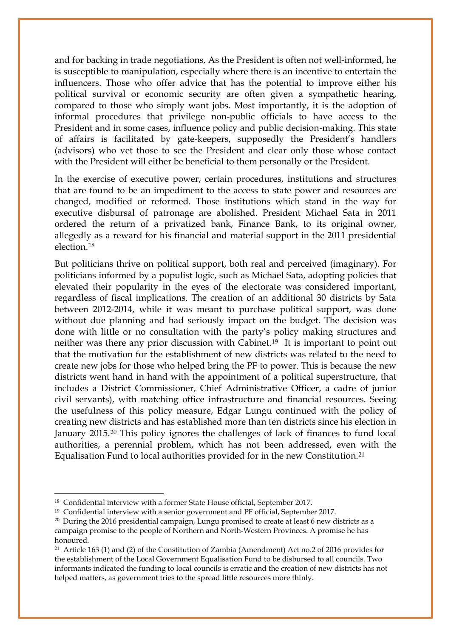and for backing in trade negotiations. As the President is often not well-informed, he is susceptible to manipulation, especially where there is an incentive to entertain the influencers. Those who offer advice that has the potential to improve either his political survival or economic security are often given a sympathetic hearing, compared to those who simply want jobs. Most importantly, it is the adoption of informal procedures that privilege non-public officials to have access to the President and in some cases, influence policy and public decision-making. This state of affairs is facilitated by gate-keepers, supposedly the President's handlers (advisors) who vet those to see the President and clear only those whose contact with the President will either be beneficial to them personally or the President.

In the exercise of executive power, certain procedures, institutions and structures that are found to be an impediment to the access to state power and resources are changed, modified or reformed. Those institutions which stand in the way for executive disbursal of patronage are abolished. President Michael Sata in 2011 ordered the return of a privatized bank, Finance Bank, to its original owner, allegedly as a reward for his financial and material support in the 2011 presidential election.[18](#page-8-0)

But politicians thrive on political support, both real and perceived (imaginary). For politicians informed by a populist logic, such as Michael Sata, adopting policies that elevated their popularity in the eyes of the electorate was considered important, regardless of fiscal implications. The creation of an additional 30 districts by Sata between 2012-2014, while it was meant to purchase political support, was done without due planning and had seriously impact on the budget. The decision was done with little or no consultation with the party's policy making structures and neither was there any prior discussion with Cabinet.[19](#page-8-1) It is important to point out that the motivation for the establishment of new districts was related to the need to create new jobs for those who helped bring the PF to power. This is because the new districts went hand in hand with the appointment of a political superstructure, that includes a District Commissioner, Chief Administrative Officer, a cadre of junior civil servants), with matching office infrastructure and financial resources. Seeing the usefulness of this policy measure, Edgar Lungu continued with the policy of creating new districts and has established more than ten districts since his election in January 2015.[20](#page-8-2) This policy ignores the challenges of lack of finances to fund local authorities, a perennial problem, which has not been addressed, even with the Equalisation Fund to local authorities provided for in the new Constitution[.21](#page-8-3) 

<span id="page-8-0"></span><sup>18</sup> Confidential interview with a former State House official, September 2017.

<span id="page-8-1"></span><sup>19</sup> Confidential interview with a senior government and PF official, September 2017.

<span id="page-8-2"></span><sup>&</sup>lt;sup>20</sup> During the 2016 presidential campaign, Lungu promised to create at least 6 new districts as a campaign promise to the people of Northern and North-Western Provinces. A promise he has honoured.

<span id="page-8-3"></span><sup>21</sup> Article 163 (1) and (2) of the Constitution of Zambia (Amendment) Act no.2 of 2016 provides for the establishment of the Local Government Equalisation Fund to be disbursed to all councils. Two informants indicated the funding to local councils is erratic and the creation of new districts has not helped matters, as government tries to the spread little resources more thinly.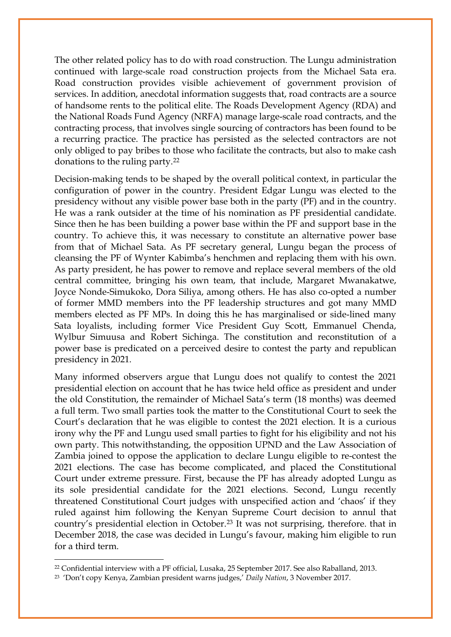The other related policy has to do with road construction. The Lungu administration continued with large-scale road construction projects from the Michael Sata era. Road construction provides visible achievement of government provision of services. In addition, anecdotal information suggests that, road contracts are a source of handsome rents to the political elite. The Roads Development Agency (RDA) and the National Roads Fund Agency (NRFA) manage large-scale road contracts, and the contracting process, that involves single sourcing of contractors has been found to be a recurring practice. The practice has persisted as the selected contractors are not only obliged to pay bribes to those who facilitate the contracts, but also to make cash donations to the ruling party.[22](#page-9-0)

Decision-making tends to be shaped by the overall political context, in particular the configuration of power in the country. President Edgar Lungu was elected to the presidency without any visible power base both in the party (PF) and in the country. He was a rank outsider at the time of his nomination as PF presidential candidate. Since then he has been building a power base within the PF and support base in the country. To achieve this, it was necessary to constitute an alternative power base from that of Michael Sata. As PF secretary general, Lungu began the process of cleansing the PF of Wynter Kabimba's henchmen and replacing them with his own. As party president, he has power to remove and replace several members of the old central committee, bringing his own team, that include, Margaret Mwanakatwe, Joyce Nonde-Simukoko, Dora Siliya, among others. He has also co-opted a number of former MMD members into the PF leadership structures and got many MMD members elected as PF MPs. In doing this he has marginalised or side-lined many Sata loyalists, including former Vice President Guy Scott, Emmanuel Chenda, Wylbur Simuusa and Robert Sichinga. The constitution and reconstitution of a power base is predicated on a perceived desire to contest the party and republican presidency in 2021.

Many informed observers argue that Lungu does not qualify to contest the 2021 presidential election on account that he has twice held office as president and under the old Constitution, the remainder of Michael Sata's term (18 months) was deemed a full term. Two small parties took the matter to the Constitutional Court to seek the Court's declaration that he was eligible to contest the 2021 election. It is a curious irony why the PF and Lungu used small parties to fight for his eligibility and not his own party. This notwithstanding, the opposition UPND and the Law Association of Zambia joined to oppose the application to declare Lungu eligible to re-contest the 2021 elections. The case has become complicated, and placed the Constitutional Court under extreme pressure. First, because the PF has already adopted Lungu as its sole presidential candidate for the 2021 elections. Second, Lungu recently threatened Constitutional Court judges with unspecified action and 'chaos' if they ruled against him following the Kenyan Supreme Court decision to annul that country's presidential election in October[.23](#page-9-1) It was not surprising, therefore. that in December 2018, the case was decided in Lungu's favour, making him eligible to run for a third term.

<span id="page-9-0"></span><sup>22</sup> Confidential interview with a PF official, Lusaka, 25 September 2017. See also Raballand, 2013.

<span id="page-9-1"></span><sup>23 &#</sup>x27;Don't copy Kenya, Zambian president warns judges,' *Daily Nation*, 3 November 2017.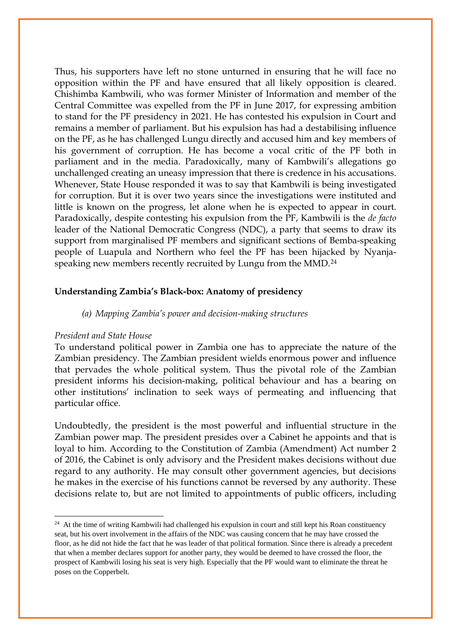Thus, his supporters have left no stone unturned in ensuring that he will face no opposition within the PF and have ensured that all likely opposition is cleared. Chishimba Kambwili, who was former Minister of Information and member of the Central Committee was expelled from the PF in June 2017, for expressing ambition to stand for the PF presidency in 2021. He has contested his expulsion in Court and remains a member of parliament. But his expulsion has had a destabilising influence on the PF, as he has challenged Lungu directly and accused him and key members of his government of corruption. He has become a vocal critic of the PF both in parliament and in the media. Paradoxically, many of Kambwili's allegations go unchallenged creating an uneasy impression that there is credence in his accusations. Whenever, State House responded it was to say that Kambwili is being investigated for corruption. But it is over two years since the investigations were instituted and little is known on the progress, let alone when he is expected to appear in court. Paradoxically, despite contesting his expulsion from the PF, Kambwili is the *de facto* leader of the National Democratic Congress (NDC), a party that seems to draw its support from marginalised PF members and significant sections of Bemba-speaking people of Luapula and Northern who feel the PF has been hijacked by Nyanja-speaking new members recently recruited by Lungu from the MMD.<sup>[24](#page-10-0)</sup>

## **Understanding Zambia's Black-box: Anatomy of presidency**

#### *(a) Mapping Zambia's power and decision-making structures*

#### *President and State House*

<u>.</u>

To understand political power in Zambia one has to appreciate the nature of the Zambian presidency. The Zambian president wields enormous power and influence that pervades the whole political system. Thus the pivotal role of the Zambian president informs his decision-making, political behaviour and has a bearing on other institutions' inclination to seek ways of permeating and influencing that particular office.

Undoubtedly, the president is the most powerful and influential structure in the Zambian power map. The president presides over a Cabinet he appoints and that is loyal to him. According to the Constitution of Zambia (Amendment) Act number 2 of 2016, the Cabinet is only advisory and the President makes decisions without due regard to any authority. He may consult other government agencies, but decisions he makes in the exercise of his functions cannot be reversed by any authority. These decisions relate to, but are not limited to appointments of public officers, including

<span id="page-10-0"></span><sup>&</sup>lt;sup>24</sup> At the time of writing Kambwili had challenged his expulsion in court and still kept his Roan constituency seat, but his overt involvement in the affairs of the NDC was causing concern that he may have crossed the floor, as he did not hide the fact that he was leader of that political formation. Since there is already a precedent that when a member declares support for another party, they would be deemed to have crossed the floor, the prospect of Kambwili losing his seat is very high. Especially that the PF would want to eliminate the threat he poses on the Copperbelt.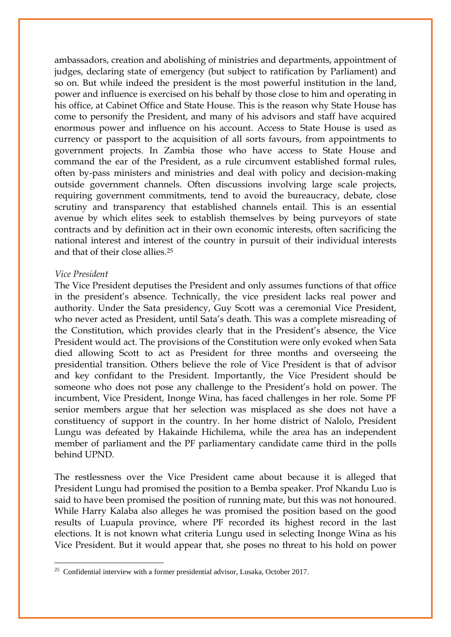ambassadors, creation and abolishing of ministries and departments, appointment of judges, declaring state of emergency (but subject to ratification by Parliament) and so on. But while indeed the president is the most powerful institution in the land, power and influence is exercised on his behalf by those close to him and operating in his office, at Cabinet Office and State House. This is the reason why State House has come to personify the President, and many of his advisors and staff have acquired enormous power and influence on his account. Access to State House is used as currency or passport to the acquisition of all sorts favours, from appointments to government projects. In Zambia those who have access to State House and command the ear of the President, as a rule circumvent established formal rules, often by-pass ministers and ministries and deal with policy and decision-making outside government channels. Often discussions involving large scale projects, requiring government commitments, tend to avoid the bureaucracy, debate, close scrutiny and transparency that established channels entail. This is an essential avenue by which elites seek to establish themselves by being purveyors of state contracts and by definition act in their own economic interests, often sacrificing the national interest and interest of the country in pursuit of their individual interests and that of their close allies.[25](#page-11-0)

#### *Vice President*

 $\overline{\phantom{a}}$ 

The Vice President deputises the President and only assumes functions of that office in the president's absence. Technically, the vice president lacks real power and authority. Under the Sata presidency, Guy Scott was a ceremonial Vice President, who never acted as President, until Sata's death. This was a complete misreading of the Constitution, which provides clearly that in the President's absence, the Vice President would act. The provisions of the Constitution were only evoked when Sata died allowing Scott to act as President for three months and overseeing the presidential transition. Others believe the role of Vice President is that of advisor and key confidant to the President. Importantly, the Vice President should be someone who does not pose any challenge to the President's hold on power. The incumbent, Vice President, Inonge Wina, has faced challenges in her role. Some PF senior members argue that her selection was misplaced as she does not have a constituency of support in the country. In her home district of Nalolo, President Lungu was defeated by Hakainde Hichilema, while the area has an independent member of parliament and the PF parliamentary candidate came third in the polls behind UPND.

The restlessness over the Vice President came about because it is alleged that President Lungu had promised the position to a Bemba speaker. Prof Nkandu Luo is said to have been promised the position of running mate, but this was not honoured. While Harry Kalaba also alleges he was promised the position based on the good results of Luapula province, where PF recorded its highest record in the last elections. It is not known what criteria Lungu used in selecting Inonge Wina as his Vice President. But it would appear that, she poses no threat to his hold on power

<span id="page-11-0"></span><sup>&</sup>lt;sup>25</sup> Confidential interview with a former presidential advisor, Lusaka, October 2017.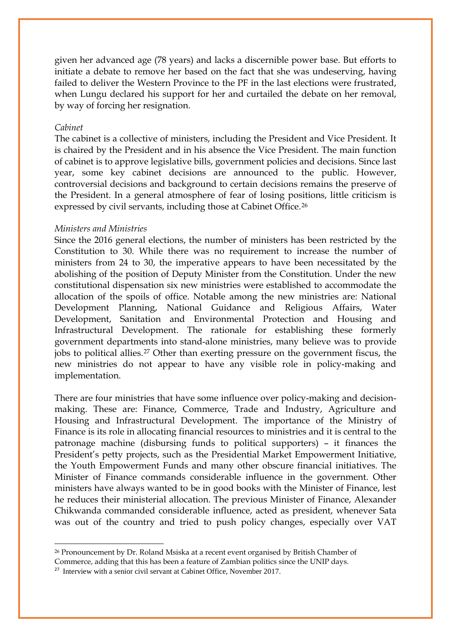given her advanced age (78 years) and lacks a discernible power base. But efforts to initiate a debate to remove her based on the fact that she was undeserving, having failed to deliver the Western Province to the PF in the last elections were frustrated, when Lungu declared his support for her and curtailed the debate on her removal, by way of forcing her resignation.

#### *Cabinet*

 $\overline{\phantom{a}}$ 

The cabinet is a collective of ministers, including the President and Vice President. It is chaired by the President and in his absence the Vice President. The main function of cabinet is to approve legislative bills, government policies and decisions. Since last year, some key cabinet decisions are announced to the public. However, controversial decisions and background to certain decisions remains the preserve of the President. In a general atmosphere of fear of losing positions, little criticism is expressed by civil servants, including those at Cabinet Office.<sup>[26](#page-12-0)</sup>

#### *Ministers and Ministries*

Since the 2016 general elections, the number of ministers has been restricted by the Constitution to 30. While there was no requirement to increase the number of ministers from 24 to 30, the imperative appears to have been necessitated by the abolishing of the position of Deputy Minister from the Constitution. Under the new constitutional dispensation six new ministries were established to accommodate the allocation of the spoils of office. Notable among the new ministries are: National Development Planning, National Guidance and Religious Affairs, Water Development, Sanitation and Environmental Protection and Housing and Infrastructural Development. The rationale for establishing these formerly government departments into stand-alone ministries, many believe was to provide jobs to political allies.[27](#page-12-1) Other than exerting pressure on the government fiscus, the new ministries do not appear to have any visible role in policy-making and implementation.

There are four ministries that have some influence over policy-making and decisionmaking. These are: Finance, Commerce, Trade and Industry, Agriculture and Housing and Infrastructural Development. The importance of the Ministry of Finance is its role in allocating financial resources to ministries and it is central to the patronage machine (disbursing funds to political supporters) – it finances the President's petty projects, such as the Presidential Market Empowerment Initiative, the Youth Empowerment Funds and many other obscure financial initiatives. The Minister of Finance commands considerable influence in the government. Other ministers have always wanted to be in good books with the Minister of Finance, lest he reduces their ministerial allocation. The previous Minister of Finance, Alexander Chikwanda commanded considerable influence, acted as president, whenever Sata was out of the country and tried to push policy changes, especially over VAT

<span id="page-12-0"></span><sup>&</sup>lt;sup>26</sup> Pronouncement by Dr. Roland Msiska at a recent event organised by British Chamber of

Commerce, adding that this has been a feature of Zambian politics since the UNIP days.

<span id="page-12-1"></span><sup>&</sup>lt;sup>27</sup> Interview with a senior civil servant at Cabinet Office, November 2017.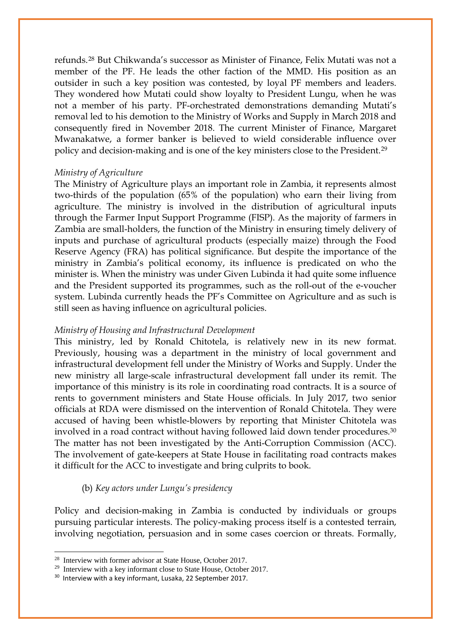refunds.[28](#page-13-0) But Chikwanda's successor as Minister of Finance, Felix Mutati was not a member of the PF. He leads the other faction of the MMD. His position as an outsider in such a key position was contested, by loyal PF members and leaders. They wondered how Mutati could show loyalty to President Lungu, when he was not a member of his party. PF-orchestrated demonstrations demanding Mutati's removal led to his demotion to the Ministry of Works and Supply in March 2018 and consequently fired in November 2018. The current Minister of Finance, Margaret Mwanakatwe, a former banker is believed to wield considerable influence over policy and decision-making and is one of the key ministers close to the President.[29](#page-13-1)

## *Ministry of Agriculture*

The Ministry of Agriculture plays an important role in Zambia, it represents almost two-thirds of the population (65% of the population) who earn their living from agriculture. The ministry is involved in the distribution of agricultural inputs through the Farmer Input Support Programme (FISP). As the majority of farmers in Zambia are small-holders, the function of the Ministry in ensuring timely delivery of inputs and purchase of agricultural products (especially maize) through the Food Reserve Agency (FRA) has political significance. But despite the importance of the ministry in Zambia's political economy, its influence is predicated on who the minister is. When the ministry was under Given Lubinda it had quite some influence and the President supported its programmes, such as the roll-out of the e-voucher system. Lubinda currently heads the PF's Committee on Agriculture and as such is still seen as having influence on agricultural policies.

## *Ministry of Housing and Infrastructural Development*

This ministry, led by Ronald Chitotela, is relatively new in its new format. Previously, housing was a department in the ministry of local government and infrastructural development fell under the Ministry of Works and Supply. Under the new ministry all large-scale infrastructural development fall under its remit. The importance of this ministry is its role in coordinating road contracts. It is a source of rents to government ministers and State House officials. In July 2017, two senior officials at RDA were dismissed on the intervention of Ronald Chitotela. They were accused of having been whistle-blowers by reporting that Minister Chitotela was involved in a road contract without having followed laid down tender procedures.<sup>[30](#page-13-2)</sup> The matter has not been investigated by the Anti-Corruption Commission (ACC). The involvement of gate-keepers at State House in facilitating road contracts makes it difficult for the ACC to investigate and bring culprits to book.

## (b) *Key actors under Lungu's presidency*

Policy and decision-making in Zambia is conducted by individuals or groups pursuing particular interests. The policy-making process itself is a contested terrain, involving negotiation, persuasion and in some cases coercion or threats. Formally,

<span id="page-13-0"></span><sup>&</sup>lt;sup>28</sup> Interview with former advisor at State House, October 2017.

<span id="page-13-1"></span><sup>&</sup>lt;sup>29</sup> Interview with a key informant close to State House, October 2017.

<span id="page-13-2"></span><sup>&</sup>lt;sup>30</sup> Interview with a key informant, Lusaka, 22 September 2017.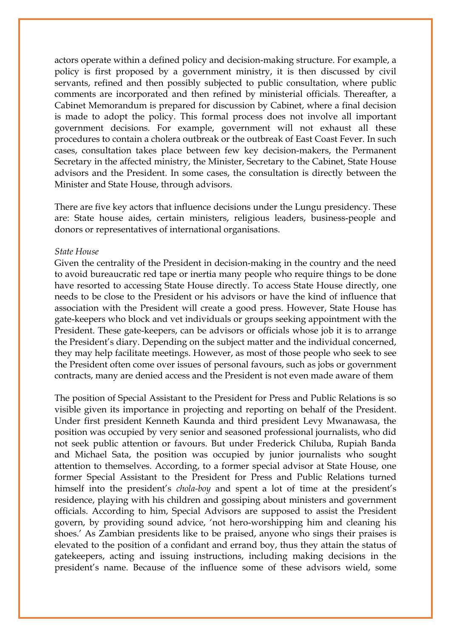actors operate within a defined policy and decision-making structure. For example, a policy is first proposed by a government ministry, it is then discussed by civil servants, refined and then possibly subjected to public consultation, where public comments are incorporated and then refined by ministerial officials. Thereafter, a Cabinet Memorandum is prepared for discussion by Cabinet, where a final decision is made to adopt the policy. This formal process does not involve all important government decisions. For example, government will not exhaust all these procedures to contain a cholera outbreak or the outbreak of East Coast Fever. In such cases, consultation takes place between few key decision-makers, the Permanent Secretary in the affected ministry, the Minister, Secretary to the Cabinet, State House advisors and the President. In some cases, the consultation is directly between the Minister and State House, through advisors.

There are five key actors that influence decisions under the Lungu presidency. These are: State house aides, certain ministers, religious leaders, business-people and donors or representatives of international organisations.

#### *State House*

Given the centrality of the President in decision-making in the country and the need to avoid bureaucratic red tape or inertia many people who require things to be done have resorted to accessing State House directly. To access State House directly, one needs to be close to the President or his advisors or have the kind of influence that association with the President will create a good press. However, State House has gate-keepers who block and vet individuals or groups seeking appointment with the President. These gate-keepers, can be advisors or officials whose job it is to arrange the President's diary. Depending on the subject matter and the individual concerned, they may help facilitate meetings. However, as most of those people who seek to see the President often come over issues of personal favours, such as jobs or government contracts, many are denied access and the President is not even made aware of them

The position of Special Assistant to the President for Press and Public Relations is so visible given its importance in projecting and reporting on behalf of the President. Under first president Kenneth Kaunda and third president Levy Mwanawasa, the position was occupied by very senior and seasoned professional journalists, who did not seek public attention or favours. But under Frederick Chiluba, Rupiah Banda and Michael Sata, the position was occupied by junior journalists who sought attention to themselves. According, to a former special advisor at State House, one former Special Assistant to the President for Press and Public Relations turned himself into the president's *chola-boy* and spent a lot of time at the president's residence, playing with his children and gossiping about ministers and government officials. According to him, Special Advisors are supposed to assist the President govern, by providing sound advice, 'not hero-worshipping him and cleaning his shoes.' As Zambian presidents like to be praised, anyone who sings their praises is elevated to the position of a confidant and errand boy, thus they attain the status of gatekeepers, acting and issuing instructions, including making decisions in the president's name. Because of the influence some of these advisors wield, some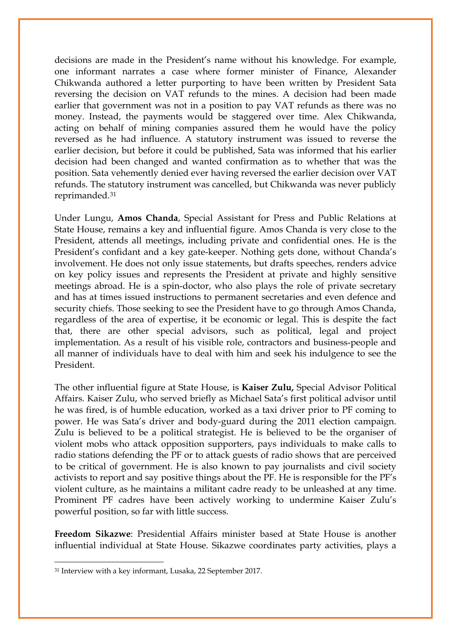decisions are made in the President's name without his knowledge. For example, one informant narrates a case where former minister of Finance, Alexander Chikwanda authored a letter purporting to have been written by President Sata reversing the decision on VAT refunds to the mines. A decision had been made earlier that government was not in a position to pay VAT refunds as there was no money. Instead, the payments would be staggered over time. Alex Chikwanda, acting on behalf of mining companies assured them he would have the policy reversed as he had influence. A statutory instrument was issued to reverse the earlier decision, but before it could be published, Sata was informed that his earlier decision had been changed and wanted confirmation as to whether that was the position. Sata vehemently denied ever having reversed the earlier decision over VAT refunds. The statutory instrument was cancelled, but Chikwanda was never publicly reprimanded.[31](#page-15-0)

Under Lungu, **Amos Chanda**, Special Assistant for Press and Public Relations at State House, remains a key and influential figure. Amos Chanda is very close to the President, attends all meetings, including private and confidential ones. He is the President's confidant and a key gate-keeper. Nothing gets done, without Chanda's involvement. He does not only issue statements, but drafts speeches, renders advice on key policy issues and represents the President at private and highly sensitive meetings abroad. He is a spin-doctor, who also plays the role of private secretary and has at times issued instructions to permanent secretaries and even defence and security chiefs. Those seeking to see the President have to go through Amos Chanda, regardless of the area of expertise, it be economic or legal. This is despite the fact that, there are other special advisors, such as political, legal and project implementation. As a result of his visible role, contractors and business-people and all manner of individuals have to deal with him and seek his indulgence to see the President.

The other influential figure at State House, is **Kaiser Zulu,** Special Advisor Political Affairs. Kaiser Zulu, who served briefly as Michael Sata's first political advisor until he was fired, is of humble education, worked as a taxi driver prior to PF coming to power. He was Sata's driver and body-guard during the 2011 election campaign. Zulu is believed to be a political strategist. He is believed to be the organiser of violent mobs who attack opposition supporters, pays individuals to make calls to radio stations defending the PF or to attack guests of radio shows that are perceived to be critical of government. He is also known to pay journalists and civil society activists to report and say positive things about the PF. He is responsible for the PF's violent culture, as he maintains a militant cadre ready to be unleashed at any time. Prominent PF cadres have been actively working to undermine Kaiser Zulu's powerful position, so far with little success.

**Freedom Sikazwe**: Presidential Affairs minister based at State House is another influential individual at State House. Sikazwe coordinates party activities, plays a

<span id="page-15-0"></span><sup>31</sup> Interview with a key informant, Lusaka, 22 September 2017.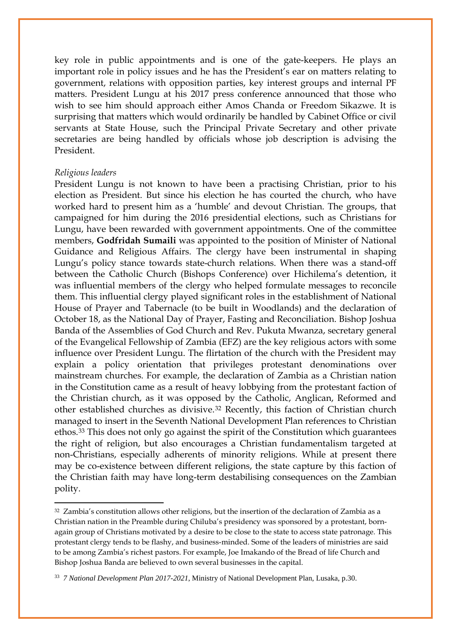key role in public appointments and is one of the gate-keepers. He plays an important role in policy issues and he has the President's ear on matters relating to government, relations with opposition parties, key interest groups and internal PF matters. President Lungu at his 2017 press conference announced that those who wish to see him should approach either Amos Chanda or Freedom Sikazwe. It is surprising that matters which would ordinarily be handled by Cabinet Office or civil servants at State House, such the Principal Private Secretary and other private secretaries are being handled by officials whose job description is advising the President.

#### *Religious leaders*

 $\overline{\phantom{a}}$ 

President Lungu is not known to have been a practising Christian, prior to his election as President. But since his election he has courted the church, who have worked hard to present him as a 'humble' and devout Christian. The groups, that campaigned for him during the 2016 presidential elections, such as Christians for Lungu, have been rewarded with government appointments. One of the committee members, **Godfridah Sumaili** was appointed to the position of Minister of National Guidance and Religious Affairs. The clergy have been instrumental in shaping Lungu's policy stance towards state-church relations. When there was a stand-off between the Catholic Church (Bishops Conference) over Hichilema's detention, it was influential members of the clergy who helped formulate messages to reconcile them. This influential clergy played significant roles in the establishment of National House of Prayer and Tabernacle (to be built in Woodlands) and the declaration of October 18, as the National Day of Prayer, Fasting and Reconciliation. Bishop Joshua Banda of the Assemblies of God Church and Rev. Pukuta Mwanza, secretary general of the Evangelical Fellowship of Zambia (EFZ) are the key religious actors with some influence over President Lungu. The flirtation of the church with the President may explain a policy orientation that privileges protestant denominations over mainstream churches. For example, the declaration of Zambia as a Christian nation in the Constitution came as a result of heavy lobbying from the protestant faction of the Christian church, as it was opposed by the Catholic, Anglican, Reformed and other established churches as divisive.[32](#page-16-0) Recently, this faction of Christian church managed to insert in the Seventh National Development Plan references to Christian ethos.[33](#page-16-1) This does not only go against the spirit of the Constitution which guarantees the right of religion, but also encourages a Christian fundamentalism targeted at non-Christians, especially adherents of minority religions. While at present there may be co-existence between different religions, the state capture by this faction of the Christian faith may have long-term destabilising consequences on the Zambian polity.

<span id="page-16-0"></span> $32$  Zambia's constitution allows other religions, but the insertion of the declaration of Zambia as a Christian nation in the Preamble during Chiluba's presidency was sponsored by a protestant, bornagain group of Christians motivated by a desire to be close to the state to access state patronage. This protestant clergy tends to be flashy, and business-minded. Some of the leaders of ministries are said to be among Zambia's richest pastors. For example, Joe Imakando of the Bread of life Church and Bishop Joshua Banda are believed to own several businesses in the capital.

<span id="page-16-1"></span><sup>33</sup> *7 National Development Plan 2017-2021*, Ministry of National Development Plan, Lusaka, p.30.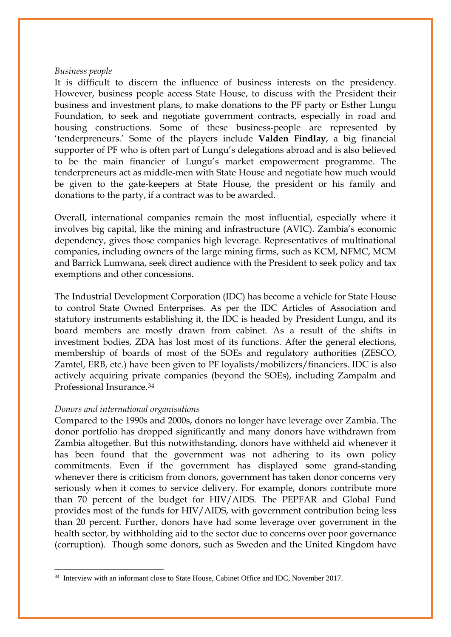#### *Business people*

It is difficult to discern the influence of business interests on the presidency. However, business people access State House, to discuss with the President their business and investment plans, to make donations to the PF party or Esther Lungu Foundation, to seek and negotiate government contracts, especially in road and housing constructions. Some of these business-people are represented by 'tenderpreneurs.' Some of the players include **Valden Findlay**, a big financial supporter of PF who is often part of Lungu's delegations abroad and is also believed to be the main financier of Lungu's market empowerment programme. The tenderpreneurs act as middle-men with State House and negotiate how much would be given to the gate-keepers at State House, the president or his family and donations to the party, if a contract was to be awarded.

Overall, international companies remain the most influential, especially where it involves big capital, like the mining and infrastructure (AVIC). Zambia's economic dependency, gives those companies high leverage. Representatives of multinational companies, including owners of the large mining firms, such as KCM, NFMC, MCM and Barrick Lumwana, seek direct audience with the President to seek policy and tax exemptions and other concessions.

The Industrial Development Corporation (IDC) has become a vehicle for State House to control State Owned Enterprises. As per the IDC Articles of Association and statutory instruments establishing it, the IDC is headed by President Lungu, and its board members are mostly drawn from cabinet. As a result of the shifts in investment bodies, ZDA has lost most of its functions. After the general elections, membership of boards of most of the SOEs and regulatory authorities (ZESCO, Zamtel, ERB, etc.) have been given to PF loyalists/mobilizers/financiers. IDC is also actively acquiring private companies (beyond the SOEs), including Zampalm and Professional Insurance.[34](#page-17-0)

## *Donors and international organisations*

 $\overline{\phantom{a}}$ 

Compared to the 1990s and 2000s, donors no longer have leverage over Zambia. The donor portfolio has dropped significantly and many donors have withdrawn from Zambia altogether. But this notwithstanding, donors have withheld aid whenever it has been found that the government was not adhering to its own policy commitments. Even if the government has displayed some grand-standing whenever there is criticism from donors, government has taken donor concerns very seriously when it comes to service delivery. For example, donors contribute more than 70 percent of the budget for HIV/AIDS. The PEPFAR and Global Fund provides most of the funds for HIV/AIDS, with government contribution being less than 20 percent. Further, donors have had some leverage over government in the health sector, by withholding aid to the sector due to concerns over poor governance (corruption). Though some donors, such as Sweden and the United Kingdom have

<span id="page-17-0"></span><sup>34</sup> Interview with an informant close to State House, Cabinet Office and IDC, November 2017.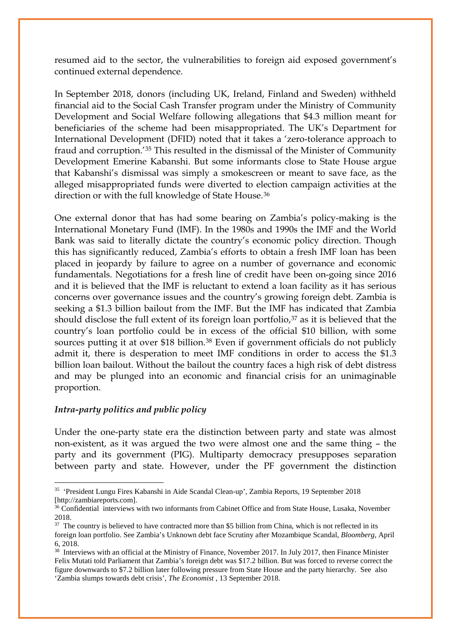resumed aid to the sector, the vulnerabilities to foreign aid exposed government's continued external dependence.

In September 2018, donors (including UK, Ireland, Finland and Sweden) withheld financial aid to the Social Cash Transfer program under the Ministry of Community Development and Social Welfare following allegations that \$4.3 million meant for beneficiaries of the scheme had been misappropriated. The UK's Department for International Development (DFID) noted that it takes a 'zero-tolerance approach to fraud and corruption.'[35](#page-18-0) This resulted in the dismissal of the Minister of Community Development Emerine Kabanshi. But some informants close to State House argue that Kabanshi's dismissal was simply a smokescreen or meant to save face, as the alleged misappropriated funds were diverted to election campaign activities at the direction or with the full knowledge of State House.[36](#page-18-1)

One external donor that has had some bearing on Zambia's policy-making is the International Monetary Fund (IMF). In the 1980s and 1990s the IMF and the World Bank was said to literally dictate the country's economic policy direction. Though this has significantly reduced, Zambia's efforts to obtain a fresh IMF loan has been placed in jeopardy by failure to agree on a number of governance and economic fundamentals. Negotiations for a fresh line of credit have been on-going since 2016 and it is believed that the IMF is reluctant to extend a loan facility as it has serious concerns over governance issues and the country's growing foreign debt. Zambia is seeking a \$1.3 billion bailout from the IMF. But the IMF has indicated that Zambia should disclose the full extent of its foreign loan portfolio,<sup>37</sup> as it is believed that the country's loan portfolio could be in excess of the official \$10 billion, with some sources putting it at over \$18 billion.<sup>[38](#page-18-3)</sup> Even if government officials do not publicly admit it, there is desperation to meet IMF conditions in order to access the \$1.3 billion loan bailout. Without the bailout the country faces a high risk of debt distress and may be plunged into an economic and financial crisis for an unimaginable proportion.

# *Intra-party politics and public policy*

 $\overline{\phantom{a}}$ 

Under the one-party state era the distinction between party and state was almost non-existent, as it was argued the two were almost one and the same thing – the party and its government (PIG). Multiparty democracy presupposes separation between party and state. However, under the PF government the distinction

<span id="page-18-0"></span><sup>35</sup> 'President Lungu Fires Kabanshi in Aide Scandal Clean-up', Zambia Reports, 19 September 2018 [http://zambiareports.com].

<span id="page-18-1"></span><sup>&</sup>lt;sup>36</sup> Confidential interviews with two informants from Cabinet Office and from State House, Lusaka, November 2018.

<span id="page-18-2"></span><sup>&</sup>lt;sup>37</sup> The country is believed to have contracted more than \$5 billion from China, which is not reflected in its foreign loan portfolio. See Zambia's Unknown debt face Scrutiny after Mozambique Scandal, *Bloomberg*, April 6, 2018.

<span id="page-18-3"></span><sup>&</sup>lt;sup>38</sup> Interviews with an official at the Ministry of Finance, November 2017. In July 2017, then Finance Minister Felix Mutati told Parliament that Zambia's foreign debt was \$17.2 billion. But was forced to reverse correct the figure downwards to \$7.2 billion later following pressure from State House and the party hierarchy. See also 'Zambia slumps towards debt crisis', *The Economist* , 13 September 2018.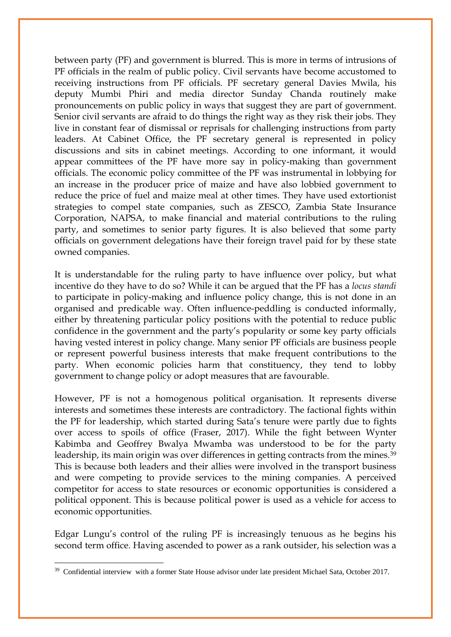between party (PF) and government is blurred. This is more in terms of intrusions of PF officials in the realm of public policy. Civil servants have become accustomed to receiving instructions from PF officials. PF secretary general Davies Mwila, his deputy Mumbi Phiri and media director Sunday Chanda routinely make pronouncements on public policy in ways that suggest they are part of government. Senior civil servants are afraid to do things the right way as they risk their jobs. They live in constant fear of dismissal or reprisals for challenging instructions from party leaders. At Cabinet Office, the PF secretary general is represented in policy discussions and sits in cabinet meetings. According to one informant, it would appear committees of the PF have more say in policy-making than government officials. The economic policy committee of the PF was instrumental in lobbying for an increase in the producer price of maize and have also lobbied government to reduce the price of fuel and maize meal at other times. They have used extortionist strategies to compel state companies, such as ZESCO, Zambia State Insurance Corporation, NAPSA, to make financial and material contributions to the ruling party, and sometimes to senior party figures. It is also believed that some party officials on government delegations have their foreign travel paid for by these state owned companies.

It is understandable for the ruling party to have influence over policy, but what incentive do they have to do so? While it can be argued that the PF has a *locus standi* to participate in policy-making and influence policy change, this is not done in an organised and predicable way. Often influence-peddling is conducted informally, either by threatening particular policy positions with the potential to reduce public confidence in the government and the party's popularity or some key party officials having vested interest in policy change. Many senior PF officials are business people or represent powerful business interests that make frequent contributions to the party. When economic policies harm that constituency, they tend to lobby government to change policy or adopt measures that are favourable.

However, PF is not a homogenous political organisation. It represents diverse interests and sometimes these interests are contradictory. The factional fights within the PF for leadership, which started during Sata's tenure were partly due to fights over access to spoils of office (Fraser, 2017). While the fight between Wynter Kabimba and Geoffrey Bwalya Mwamba was understood to be for the party leadership, its main origin was over differences in getting contracts from the mines.<sup>[39](#page-19-0)</sup> This is because both leaders and their allies were involved in the transport business and were competing to provide services to the mining companies. A perceived competitor for access to state resources or economic opportunities is considered a political opponent. This is because political power is used as a vehicle for access to economic opportunities.

Edgar Lungu's control of the ruling PF is increasingly tenuous as he begins his second term office. Having ascended to power as a rank outsider, his selection was a

 $\overline{\phantom{a}}$ 

<span id="page-19-0"></span><sup>&</sup>lt;sup>39</sup> Confidential interview with a former State House advisor under late president Michael Sata, October 2017.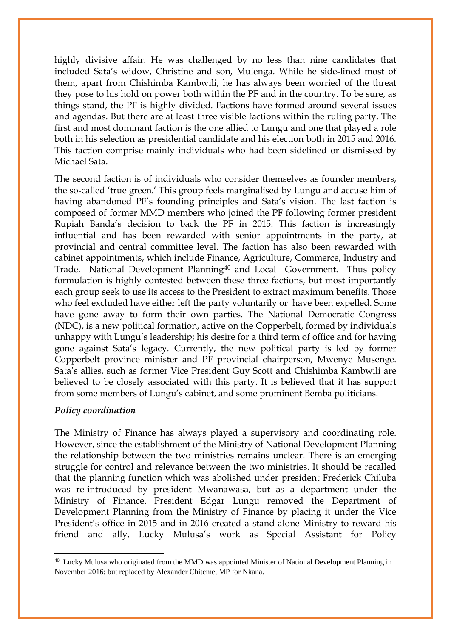highly divisive affair. He was challenged by no less than nine candidates that included Sata's widow, Christine and son, Mulenga. While he side-lined most of them, apart from Chishimba Kambwili, he has always been worried of the threat they pose to his hold on power both within the PF and in the country. To be sure, as things stand, the PF is highly divided. Factions have formed around several issues and agendas. But there are at least three visible factions within the ruling party. The first and most dominant faction is the one allied to Lungu and one that played a role both in his selection as presidential candidate and his election both in 2015 and 2016. This faction comprise mainly individuals who had been sidelined or dismissed by Michael Sata.

The second faction is of individuals who consider themselves as founder members, the so-called 'true green.' This group feels marginalised by Lungu and accuse him of having abandoned PF's founding principles and Sata's vision. The last faction is composed of former MMD members who joined the PF following former president Rupiah Banda's decision to back the PF in 2015. This faction is increasingly influential and has been rewarded with senior appointments in the party, at provincial and central committee level. The faction has also been rewarded with cabinet appointments, which include Finance, Agriculture, Commerce, Industry and Trade, National Development Planning[40](#page-20-0) and Local Government. Thus policy formulation is highly contested between these three factions, but most importantly each group seek to use its access to the President to extract maximum benefits. Those who feel excluded have either left the party voluntarily or have been expelled. Some have gone away to form their own parties. The National Democratic Congress (NDC), is a new political formation, active on the Copperbelt, formed by individuals unhappy with Lungu's leadership; his desire for a third term of office and for having gone against Sata's legacy. Currently, the new political party is led by former Copperbelt province minister and PF provincial chairperson, Mwenye Musenge. Sata's allies, such as former Vice President Guy Scott and Chishimba Kambwili are believed to be closely associated with this party. It is believed that it has support from some members of Lungu's cabinet, and some prominent Bemba politicians.

## *Policy coordination*

 $\overline{\phantom{a}}$ 

The Ministry of Finance has always played a supervisory and coordinating role. However, since the establishment of the Ministry of National Development Planning the relationship between the two ministries remains unclear. There is an emerging struggle for control and relevance between the two ministries. It should be recalled that the planning function which was abolished under president Frederick Chiluba was re-introduced by president Mwanawasa, but as a department under the Ministry of Finance. President Edgar Lungu removed the Department of Development Planning from the Ministry of Finance by placing it under the Vice President's office in 2015 and in 2016 created a stand-alone Ministry to reward his friend and ally, Lucky Mulusa's work as Special Assistant for Policy

<span id="page-20-0"></span><sup>&</sup>lt;sup>40</sup> Lucky Mulusa who originated from the MMD was appointed Minister of National Development Planning in November 2016; but replaced by Alexander Chiteme, MP for Nkana.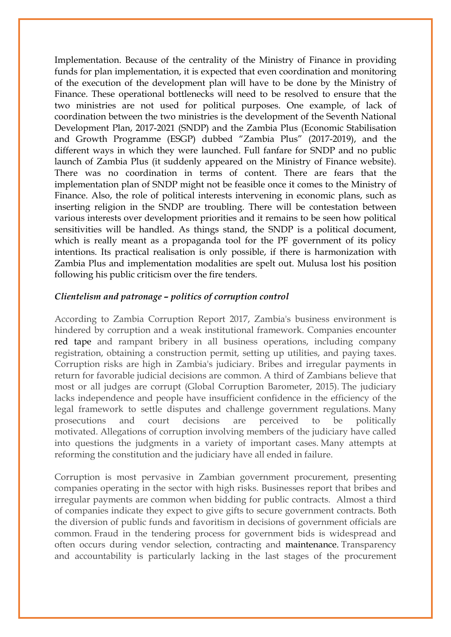Implementation. Because of the centrality of the Ministry of Finance in providing funds for plan implementation, it is expected that even coordination and monitoring of the execution of the development plan will have to be done by the Ministry of Finance. These operational bottlenecks will need to be resolved to ensure that the two ministries are not used for political purposes. One example, of lack of coordination between the two ministries is the development of the Seventh National Development Plan, 2017-2021 (SNDP) and the Zambia Plus (Economic Stabilisation and Growth Programme (ESGP) dubbed "Zambia Plus" (2017-2019), and the different ways in which they were launched. Full fanfare for SNDP and no public launch of Zambia Plus (it suddenly appeared on the Ministry of Finance website). There was no coordination in terms of content. There are fears that the implementation plan of SNDP might not be feasible once it comes to the Ministry of Finance. Also, the role of political interests intervening in economic plans, such as inserting religion in the SNDP are troubling. There will be contestation between various interests over development priorities and it remains to be seen how political sensitivities will be handled. As things stand, the SNDP is a political document, which is really meant as a propaganda tool for the PF government of its policy intentions. Its practical realisation is only possible, if there is harmonization with Zambia Plus and implementation modalities are spelt out. Mulusa lost his position following his public criticism over the fire tenders.

# *Clientelism and patronage – politics of corruption control*

According to Zambia Corruption Report 2017, Zambia's business environment is hindered by corruption and a weak institutional framework. Companies encounter [red tape](http://www.business-anti-corruption.com/corruption-dictionary) and rampant bribery in all business operations, including company registration, obtaining a construction permit, setting up utilities, and paying taxes. Corruption risks are high in Zambia's judiciary. Bribes and irregular payments in return for favorable judicial decisions are common. A third of Zambians believe that most or all judges are corrupt (Global Corruption Barometer, 2015). The judiciary lacks independence and people have insufficient confidence in the efficiency of the legal framework to settle disputes and challenge government regulations. Many prosecutions and court decisions are perceived to be politically motivated. Allegations of corruption involving members of the judiciary have called into questions the judgments in a variety of important cases. Many attempts at reforming the constitution and the judiciary have all ended in failure.

Corruption is most pervasive in Zambian government procurement, presenting companies operating in the sector with high risks. Businesses report that bribes and irregular payments are common when bidding for public contracts. Almost a third of companies indicate they expect to give gifts to secure government contracts. Both the diversion of public funds and favoritism in decisions of government officials are common. Fraud in the tendering process for government bids is widespread and often occurs during vendor selection, contracting and maintenance. Transparency and accountability is particularly lacking in the last stages of the procurement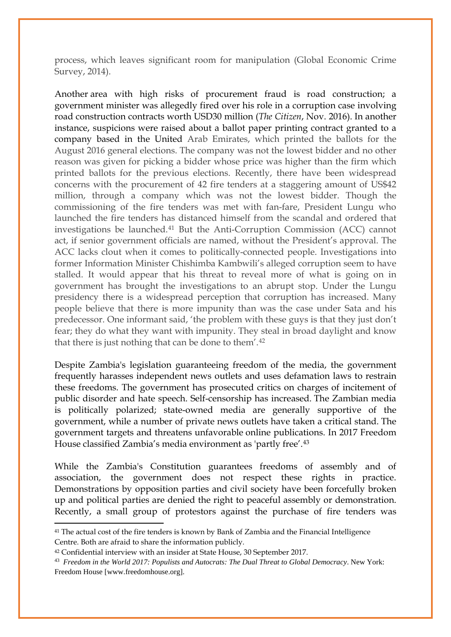process, which leaves significant room for manipulation (Global Economic Crime Survey, 2014).

Another area with high risks of procurement fraud is road construction; a government minister was allegedly fired over his role in a corruption case involving road construction contracts worth USD30 million (*The Citizen*, Nov. 2016). In another instance, suspicions were raised about a ballot paper printing contract granted to a company based in the United Arab Emirates, which printed the ballots for the August 2016 general elections. The company was not the lowest bidder and no other reason was given for picking a bidder whose price was higher than the firm which printed ballots for the previous elections. Recently, there have been widespread concerns with the procurement of 42 fire tenders at a staggering amount of US\$42 million, through a company which was not the lowest bidder. Though the commissioning of the fire tenders was met with fan-fare, President Lungu who launched the fire tenders has distanced himself from the scandal and ordered that investigations be launched.[41](#page-22-0) But the Anti-Corruption Commission (ACC) cannot act, if senior government officials are named, without the President's approval. The ACC lacks clout when it comes to politically-connected people. Investigations into former Information Minister Chishimba Kambwili's alleged corruption seem to have stalled. It would appear that his threat to reveal more of what is going on in government has brought the investigations to an abrupt stop. Under the Lungu presidency there is a widespread perception that corruption has increased. Many people believe that there is more impunity than was the case under Sata and his predecessor. One informant said, 'the problem with these guys is that they just don't fear; they do what they want with impunity. They steal in broad daylight and know that there is just nothing that can be done to them'.[42](#page-22-1)

Despite Zambia's legislation guaranteeing freedom of the media, the government frequently harasses independent news outlets and uses defamation laws to restrain these freedoms. The government has prosecuted critics on charges of incitement of public disorder and hate speech. Self-censorship has increased. The Zambian media is politically polarized; state-owned media are generally supportive of the government, while a number of private news outlets have taken a critical stand. The government targets and threatens unfavorable online publications. In 2017 Freedom House classified Zambia's media environment as 'partly free'.[43](#page-22-2)

While the Zambia's Constitution guarantees freedoms of assembly and of association, the government does not respect these rights in practice. Demonstrations by opposition parties and civil society have been forcefully broken up and political parties are denied the right to peaceful assembly or demonstration. Recently, a small group of protestors against the purchase of fire tenders was

<u>.</u>

<span id="page-22-0"></span><sup>&</sup>lt;sup>41</sup> The actual cost of the fire tenders is known by Bank of Zambia and the Financial Intelligence Centre. Both are afraid to share the information publicly.

<span id="page-22-1"></span><sup>42</sup> Confidential interview with an insider at State House, 30 September 2017.

<span id="page-22-2"></span><sup>43</sup> *Freedom in the World 2017: Populists and Autocrats: The Dual Threat to Global Democracy*. New York: Freedom House [www.freedomhouse.org].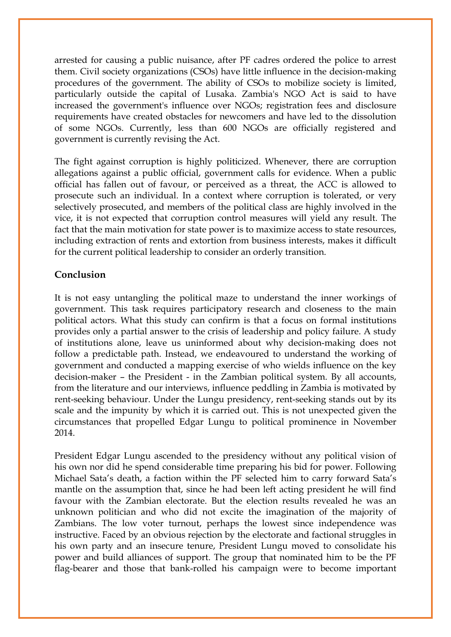arrested for causing a public nuisance, after PF cadres ordered the police to arrest them. Civil society organizations (CSOs) have little influence in the decision-making procedures of the government. The ability of CSOs to mobilize society is limited, particularly outside the capital of Lusaka. Zambia's NGO Act is said to have increased the government's influence over NGOs; registration fees and disclosure requirements have created obstacles for newcomers and have led to the dissolution of some NGOs. Currently, less than 600 NGOs are officially registered and government is currently revising the Act.

The fight against corruption is highly politicized. Whenever, there are corruption allegations against a public official, government calls for evidence. When a public official has fallen out of favour, or perceived as a threat, the ACC is allowed to prosecute such an individual. In a context where corruption is tolerated, or very selectively prosecuted, and members of the political class are highly involved in the vice, it is not expected that corruption control measures will yield any result. The fact that the main motivation for state power is to maximize access to state resources, including extraction of rents and extortion from business interests, makes it difficult for the current political leadership to consider an orderly transition.

# **Conclusion**

It is not easy untangling the political maze to understand the inner workings of government. This task requires participatory research and closeness to the main political actors. What this study can confirm is that a focus on formal institutions provides only a partial answer to the crisis of leadership and policy failure. A study of institutions alone, leave us uninformed about why decision-making does not follow a predictable path. Instead, we endeavoured to understand the working of government and conducted a mapping exercise of who wields influence on the key decision-maker – the President - in the Zambian political system. By all accounts, from the literature and our interviews, influence peddling in Zambia is motivated by rent-seeking behaviour. Under the Lungu presidency, rent-seeking stands out by its scale and the impunity by which it is carried out. This is not unexpected given the circumstances that propelled Edgar Lungu to political prominence in November 2014.

President Edgar Lungu ascended to the presidency without any political vision of his own nor did he spend considerable time preparing his bid for power. Following Michael Sata's death, a faction within the PF selected him to carry forward Sata's mantle on the assumption that, since he had been left acting president he will find favour with the Zambian electorate. But the election results revealed he was an unknown politician and who did not excite the imagination of the majority of Zambians. The low voter turnout, perhaps the lowest since independence was instructive. Faced by an obvious rejection by the electorate and factional struggles in his own party and an insecure tenure, President Lungu moved to consolidate his power and build alliances of support. The group that nominated him to be the PF flag-bearer and those that bank-rolled his campaign were to become important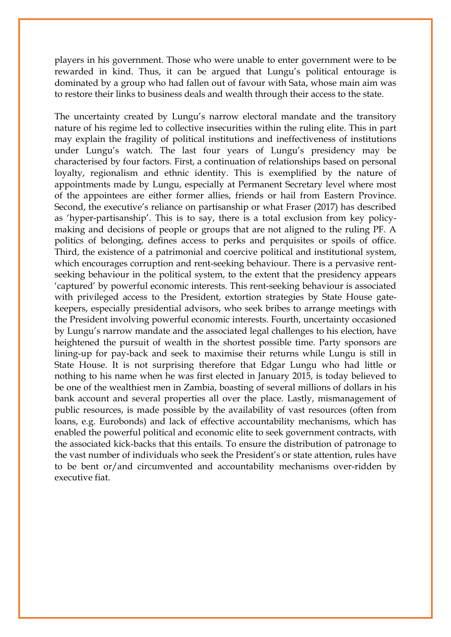players in his government. Those who were unable to enter government were to be rewarded in kind. Thus, it can be argued that Lungu's political entourage is dominated by a group who had fallen out of favour with Sata, whose main aim was to restore their links to business deals and wealth through their access to the state.

The uncertainty created by Lungu's narrow electoral mandate and the transitory nature of his regime led to collective insecurities within the ruling elite. This in part may explain the fragility of political institutions and ineffectiveness of institutions under Lungu's watch. The last four years of Lungu's presidency may be characterised by four factors. First, a continuation of relationships based on personal loyalty, regionalism and ethnic identity. This is exemplified by the nature of appointments made by Lungu, especially at Permanent Secretary level where most of the appointees are either former allies, friends or hail from Eastern Province. Second, the executive's reliance on partisanship or what Fraser (2017) has described as 'hyper-partisanship'. This is to say, there is a total exclusion from key policymaking and decisions of people or groups that are not aligned to the ruling PF. A politics of belonging, defines access to perks and perquisites or spoils of office. Third, the existence of a patrimonial and coercive political and institutional system, which encourages corruption and rent-seeking behaviour. There is a pervasive rentseeking behaviour in the political system, to the extent that the presidency appears 'captured' by powerful economic interests. This rent-seeking behaviour is associated with privileged access to the President, extortion strategies by State House gatekeepers, especially presidential advisors, who seek bribes to arrange meetings with the President involving powerful economic interests. Fourth, uncertainty occasioned by Lungu's narrow mandate and the associated legal challenges to his election, have heightened the pursuit of wealth in the shortest possible time. Party sponsors are lining-up for pay-back and seek to maximise their returns while Lungu is still in State House. It is not surprising therefore that Edgar Lungu who had little or nothing to his name when he was first elected in January 2015, is today believed to be one of the wealthiest men in Zambia, boasting of several millions of dollars in his bank account and several properties all over the place. Lastly, mismanagement of public resources, is made possible by the availability of vast resources (often from loans, e.g. Eurobonds) and lack of effective accountability mechanisms, which has enabled the powerful political and economic elite to seek government contracts, with the associated kick-backs that this entails. To ensure the distribution of patronage to the vast number of individuals who seek the President's or state attention, rules have to be bent or/and circumvented and accountability mechanisms over-ridden by executive fiat.